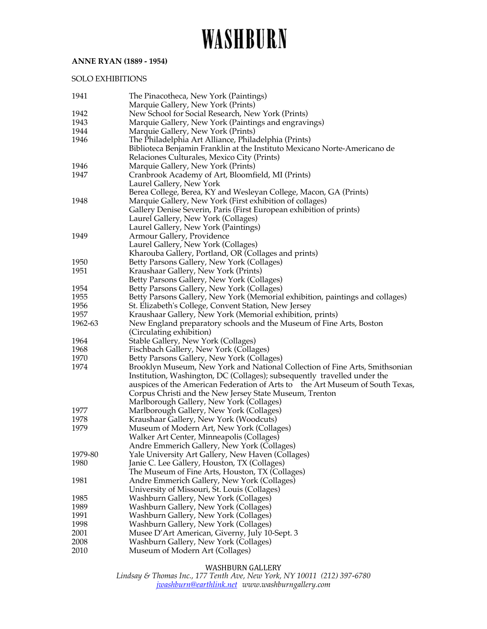## **ANNE RYAN (1889 - 1954)**

## SOLO EXHIBITIONS

| 1941    | The Pinacotheca, New York (Paintings)                                                    |
|---------|------------------------------------------------------------------------------------------|
|         | Marquie Gallery, New York (Prints)                                                       |
| 1942    | New School for Social Research, New York (Prints)                                        |
| 1943    | Marquie Gallery, New York (Paintings and engravings)                                     |
| 1944    | Marquie Gallery, New York (Prints)                                                       |
| 1946    | The Philadelphia Art Alliance, Philadelphia (Prints)                                     |
|         | Biblioteca Benjamin Franklin at the Instituto Mexicano Norte-Americano de                |
|         | Relaciones Culturales, Mexico City (Prints)                                              |
| 1946    | Marquie Gallery, New York (Prints)                                                       |
| 1947    | Cranbrook Academy of Art, Bloomfield, MI (Prints)                                        |
|         | Laurel Gallery, New York                                                                 |
|         | Berea College, Berea, KY and Wesleyan College, Macon, GA (Prints)                        |
| 1948    | Marquie Gallery, New York (First exhibition of collages)                                 |
|         | Gallery Denise Severin, Paris (First European exhibition of prints)                      |
|         | Laurel Gallery, New York (Collages)                                                      |
|         | Laurel Gallery, New York (Paintings)                                                     |
| 1949    | Armour Gallery, Providence                                                               |
|         | Laurel Gallery, New York (Collages)                                                      |
|         | Kharouba Gallery, Portland, OR (Collages and prints)                                     |
| 1950    | Betty Parsons Gallery, New York (Collages)                                               |
| 1951    | Kraushaar Gallery, New York (Prints)                                                     |
|         | Betty Parsons Gallery, New York (Collages)                                               |
| 1954    | Betty Parsons Gallery, New York (Collages)                                               |
| 1955    | Betty Parsons Gallery, New York (Memorial exhibition, paintings and collages)            |
| 1956    | St. Elizabeth's College, Convent Station, New Jersey                                     |
| 1957    | Kraushaar Gallery, New York (Memorial exhibition, prints)                                |
| 1962-63 | New England preparatory schools and the Museum of Fine Arts, Boston                      |
|         | (Circulating exhibition)                                                                 |
| 1964    | Stable Gallery, New York (Collages)                                                      |
| 1968    | Fischbach Gallery, New York (Collages)                                                   |
| 1970    | Betty Parsons Gallery, New York (Collages)                                               |
| 1974    | Brooklyn Museum, New York and National Collection of Fine Arts, Smithsonian              |
|         | Institution, Washington, DC (Collages); subsequently travelled under the                 |
|         | auspices of the American Federation of Arts to the Art Museum of South Texas,            |
|         | Corpus Christi and the New Jersey State Museum, Trenton                                  |
|         | Marlborough Gallery, New York (Collages)                                                 |
| 1977    | Marlborough Gallery, New York (Collages)                                                 |
| 1978    | Kraushaar Gallery, New York (Woodcuts)                                                   |
| 1979    | Museum of Modern Art, New York (Collages)                                                |
|         | Walker Art Center, Minneapolis (Collages)<br>Andre Emmerich Gallery, New York (Collages) |
| 1979-80 | Yale University Art Gallery, New Haven (Collages)                                        |
| 1980    | Janie C. Lee Gallery, Houston, TX (Collages)                                             |
|         | The Museum of Fine Arts, Houston, TX (Collages)                                          |
| 1981    | Andre Emmerich Gallery, New York (Collages)                                              |
|         | University of Missouri, St. Louis (Collages)                                             |
| 1985    | Washburn Gallery, New York (Collages)                                                    |
| 1989    | Washburn Gallery, New York (Collages)                                                    |
| 1991    | Washburn Gallery, New York (Collages)                                                    |
| 1998    | Washburn Gallery, New York (Collages)                                                    |
| 2001    | Musee D'Art American, Giverny, July 10-Sept. 3                                           |
| 2008    | Washburn Gallery, New York (Collages)                                                    |
| 2010    | Museum of Modern Art (Collages)                                                          |
|         |                                                                                          |

### WASHBURN GALLERY

*Lindsay & Thomas Inc., 177 Tenth Ave, New York, NY 10011 (212) 397-6780 jwashburn@earthlink.net www.washburngallery.com*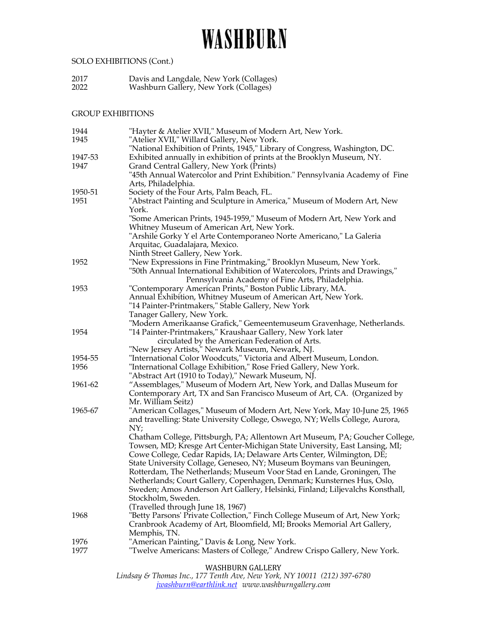## SOLO EXHIBITIONS (Cont.)

2017 Davis and Langdale, New York (Collages) 2022 Washburn Gallery, New York (Collages)

### GROUP EXHIBITIONS

| "Hayter & Atelier XVII," Museum of Modern Art, New York.                                                                                         |
|--------------------------------------------------------------------------------------------------------------------------------------------------|
| "Atelier XVII," Willard Gallery, New York.                                                                                                       |
| "National Exhibition of Prints, 1945," Library of Congress, Washington, DC.                                                                      |
| Exhibited annually in exhibition of prints at the Brooklyn Museum, NY.                                                                           |
| Grand Central Gallery, New York (Prints)                                                                                                         |
| "45th Annual Watercolor and Print Exhibition." Pennsylvania Academy of Fine                                                                      |
| Arts, Philadelphia.                                                                                                                              |
| Society of the Four Arts, Palm Beach, FL.                                                                                                        |
| "Abstract Painting and Sculpture in America," Museum of Modern Art, New                                                                          |
| York.                                                                                                                                            |
| "Some American Prints, 1945-1959," Museum of Modern Art, New York and                                                                            |
| Whitney Museum of American Art, New York.                                                                                                        |
| "Arshile Gorky Y el Arte Contemporaneo Norte Americano," La Galeria                                                                              |
| Arquitac, Guadalajara, Mexico.                                                                                                                   |
| Ninth Street Gallery, New York.                                                                                                                  |
| "New Expressions in Fine Printmaking," Brooklyn Museum, New York.<br>"50th Annual International Exhibition of Watercolors, Prints and Drawings," |
|                                                                                                                                                  |
| Pennsylvania Academy of Fine Arts, Philadelphia.<br>"Contemporary American Prints," Boston Public Library, MA.                                   |
| Annual Exhibition, Whitney Museum of American Art, New York.                                                                                     |
| "14 Painter-Printmakers," Stable Gallery, New York                                                                                               |
| Tanager Gallery, New York.                                                                                                                       |
| "Modern Amerikaanse Grafick," Gemeentemuseum Gravenhage, Netherlands.                                                                            |
| "14 Painter-Printmakers," Kraushaar Gallery, New York later                                                                                      |
| circulated by the American Federation of Arts.                                                                                                   |
| "New Jersey Artists," Newark Museum, Newark, NJ.                                                                                                 |
| "International Color Woodcuts," Victoria and Albert Museum, London.                                                                              |
| "International Collage Exhibition," Rose Fried Gallery, New York.                                                                                |
| "Abstract Art (1910 to Today)," Newark Museum, NJ.                                                                                               |
| "Assemblages," Museum of Modern Art, New York, and Dallas Museum for                                                                             |
| Contemporary Art, TX and San Francisco Museum of Art, CA. (Organized by                                                                          |
| Mr. William Seitz)                                                                                                                               |
| "American Collages," Museum of Modern Art, New York, May 10-June 25, 1965                                                                        |
| and travelling: State University College, Oswego, NY; Wells College, Aurora,                                                                     |
| NY;                                                                                                                                              |
| Chatham College, Pittsburgh, PA; Allentown Art Museum, PA; Goucher College,                                                                      |
| Towsen, MD; Kresge Art Center-Michigan State University, East Lansing, MI;                                                                       |
| Cowe College, Cedar Rapids, IA; Delaware Arts Center, Wilmington, DE;                                                                            |
| State University Collage, Geneseo, NY; Museum Boymans van Beuningen,                                                                             |
| Rotterdam, The Netherlands; Museum Voor Stad en Lande, Groningen, The                                                                            |
| Netherlands; Court Gallery, Copenhagen, Denmark; Kunsternes Hus, Oslo,                                                                           |
| Sweden; Amos Anderson Art Gallery, Helsinki, Finland; Liljevalchs Konsthall,                                                                     |
| Stockholm, Sweden.                                                                                                                               |
| (Travelled through June 18, 1967)<br>"Betty Parsons' Private Collection," Finch College Museum of Art, New York;                                 |
| Cranbrook Academy of Art, Bloomfield, MI; Brooks Memorial Art Gallery,                                                                           |
| Memphis, TN.                                                                                                                                     |
| "American Painting," Davis & Long, New York.                                                                                                     |
| "Twelve Americans: Masters of College," Andrew Crispo Gallery, New York.                                                                         |
|                                                                                                                                                  |
|                                                                                                                                                  |

WASHBURN GALLERY

*Lindsay & Thomas Inc., 177 Tenth Ave, New York, NY 10011 (212) 397-6780 jwashburn@earthlink.net www.washburngallery.com*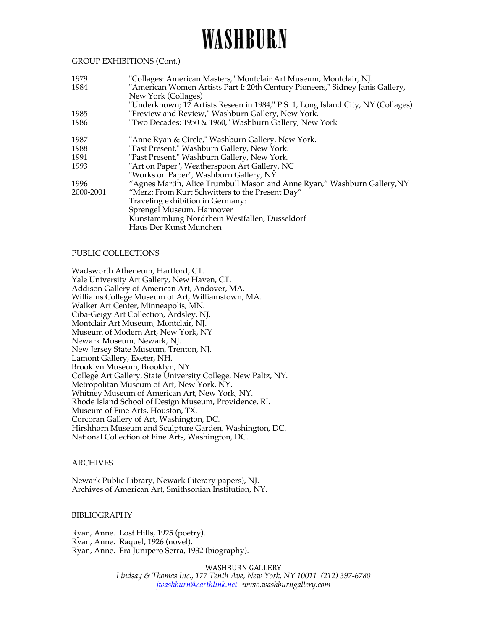#### GROUP EXHIBITIONS (Cont.)

| "Collages: American Masters," Montclair Art Museum, Montclair, NJ.               |
|----------------------------------------------------------------------------------|
| "American Women Artists Part I: 20th Century Pioneers," Sidney Janis Gallery,    |
| New York (Collages)                                                              |
| "Underknown; 12 Artists Reseen in 1984," P.S. 1, Long Island City, NY (Collages) |
| "Preview and Review," Washburn Gallery, New York.                                |
| "Two Decades: 1950 & 1960," Washburn Gallery, New York                           |
| "Anne Ryan & Circle," Washburn Gallery, New York.                                |
| "Past Present," Washburn Gallery, New York.                                      |
| "Past Present," Washburn Gallery, New York.                                      |
| "Art on Paper", Weatherspoon Art Gallery, NC                                     |
| "Works on Paper", Washburn Gallery, NY                                           |
| "Agnes Martin, Alice Trumbull Mason and Anne Ryan," Washburn Gallery, NY         |
| "Merz: From Kurt Schwitters to the Present Day"                                  |
| Traveling exhibition in Germany:                                                 |
| Sprengel Museum, Hannover                                                        |
| Kunstammlung Nordrhein Westfallen, Dusseldorf                                    |
| Haus Der Kunst Munchen                                                           |
|                                                                                  |

#### PUBLIC COLLECTIONS

Wadsworth Atheneum, Hartford, CT. Yale University Art Gallery, New Haven, CT. Addison Gallery of American Art, Andover, MA. Williams College Museum of Art, Williamstown, MA. Walker Art Center, Minneapolis, MN. Ciba-Geigy Art Collection, Ardsley, NJ. Montclair Art Museum, Montclair, NJ. Museum of Modern Art, New York, NY Newark Museum, Newark, NJ. New Jersey State Museum, Trenton, NJ. Lamont Gallery, Exeter, NH. Brooklyn Museum, Brooklyn, NY. College Art Gallery, State University College, New Paltz, NY. Metropolitan Museum of Art, New York, NY. Whitney Museum of American Art, New York, NY. Rhode Island School of Design Museum, Providence, RI. Museum of Fine Arts, Houston, TX. Corcoran Gallery of Art, Washington, DC. Hirshhorn Museum and Sculpture Garden, Washington, DC. National Collection of Fine Arts, Washington, DC.

#### ARCHIVES

Newark Public Library, Newark (literary papers), NJ. Archives of American Art, Smithsonian Institution, NY.

#### BIBLIOGRAPHY

Ryan, Anne. Lost Hills, 1925 (poetry). Ryan, Anne. Raquel, 1926 (novel). Ryan, Anne. Fra Junipero Serra, 1932 (biography).

> WASHBURN GALLERY *Lindsay & Thomas Inc., 177 Tenth Ave, New York, NY 10011 (212) 397-6780 jwashburn@earthlink.net www.washburngallery.com*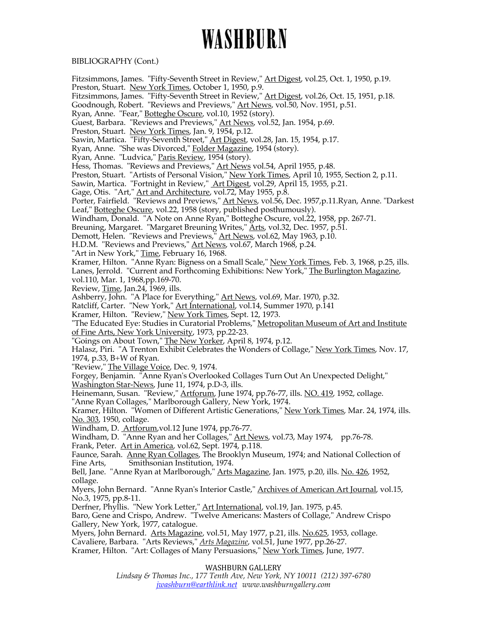### BIBLIOGRAPHY (Cont.)

Fitzsimmons, James. "Fifty-Seventh Street in Review," Art Digest, vol.25, Oct. 1, 1950, p.19. Preston, Stuart. New York Times, October 1, 1950, p.9. Fitzsimmons, James. "Fifty-Seventh Street in Review," <u>Art Digest</u>, vol.26, Oct. 15, 1951, p.18. Goodnough, Robert. "Reviews and Previews," <u>Art News</u>, vol.50, Nov. 1951, p.51. Ryan, Anne. "Fear," Botteghe Oscure, vol.10, 1952 (story). Guest, Barbara. "Reviews and Previews," Art News, vol.52, Jan. 1954, p.69. Preston, Stuart. New York Times, Jan. 9, 1954, p.12. Sawin, Martica. TFifty-Seventh Street," Art Digest, vol.28, Jan. 15, 1954, p.17. Ryan, Anne. "She was Divorced," Folder Magazine, 1954 (story). Ryan, Anne. "Ludvica," Paris Review, 1954 (story). Hess, Thomas. "Reviews and Previews," Art News vol.54, April 1955, p.48. Preston, Stuart. "Artists of Personal Vision," New York Times, April 10, 1955, Section 2, p.11. Sawin, Martica. "Fortnight in Review," <u>Art Digest</u>, vol.29, April 15, 1955, p.21. Gage, Otis. "Art," <u>Art and Architecture</u>, vol.72, May 1955, p.8. Porter, Fairfield. "Reviews and Previews," <u>Art News</u>, vol.56, Dec. 1957,p.11.Ryan, Anne. "Darkest Leaf," Botteghe Oscure, vol.22, 1958 (story, published posthumously). Windham, Donald. "A Note on Anne Ryan," Botteghe Oscure, vol.22, 1958, pp. 267-71. Breuning, Margaret. "Margaret Breuning Writes," Arts, vol.32, Dec. 1957, p.51. Demott, Helen. "Reviews and Previews," Art News, vol.62, May 1963, p.10. H.D.M. "Reviews and Previews," Art News, vol.67, March 1968, p.24. "Art in New York," Time, February 16, 1968. Kramer, Hilton. "Anne Ryan: Bigness on a Small Scale," New York Times, Feb. 3, 1968, p.25, ills. Lanes, Jerrold. "Current and Forthcoming Exhibitions: New York," The Burlington Magazine, vol.110, Mar. 1, 1968,pp.169-70. Review, Time, Jan.24, 1969, ills. Ashberry, John. "A Place for Everything," <u>Art News</u>, vol.69, Mar. 1970, p.32. Ratcliff, Carter. "New York," <u>Art International</u>, vol.14, Summer 1970, p.141 Kramer, Hilton. "Review," <u>New York Times</u>, Sept. 12, 1973. "The Educated Eye: Studies in Curatorial Problems," Metropolitan Museum of Art and Institute of Fine Arts, New York University, 1973, pp.22-23. "Goings on About Town," The New Yorker, April 8, 1974, p.12. Halasz, Piri. "A Trenton Exhibit Celebrates the Wonders of Collage," New York Times, Nov. 17, 1974, p.33, B+W of Ryan. "Review," The Village Voice, Dec. 9, 1974. Forgey, Benjamin. "Anne Ryan's Overlooked Collages Turn Out An Unexpected Delight," Washington Star-News, June 11, 1974, p.D-3, ills. Heinemann, Susan. "Review," Artforum, June 1974, pp.76-77, ills. NO. 419, 1952, collage. "Anne Ryan Collages," Marlborough Gallery, New York, 1974. Kramer, Hilton. "Women of Different Artistic Generations," New York Times, Mar. 24, 1974, ills. No. 303, 1950, collage. Windham, D. Artforum, vol.12 June 1974, pp.76-77. Windham, D. "Anne Ryan and her Collages," Art News, vol.73, May 1974, pp.76-78. Frank, Peter. Art in America, vol.62, Sept. 1974, p.118. Faunce, Sarah. Anne Ryan Collages, The Brooklyn Museum, 1974; and National Collection of Fine Arts, Smithsonian Institution, 1974. Bell, Jane. "Anne Ryan at Marlborough," Arts Magazine, Jan. 1975, p.20, ills. No. 426, 1952, collage. Myers, John Bernard. "Anne Ryan's Interior Castle," Archives of American Art Journal, vol.15, No.3, 1975, pp.8-11. Derfner, Phyllis. "New York Letter," Art International, vol.19, Jan. 1975, p.45. Baro, Gene and Crispo, Andrew. "Twelve Americans: Masters of Collage," Andrew Crispo Gallery, New York, 1977, catalogue. Myers, John Bernard. Arts Magazine, vol.51, May 1977, p.21, ills. No.625, 1953, collage. Cavaliere, Barbara. "Arts Reviews," *Arts Magazine*, vol.51, June 1977, pp.26-27. Kramer, Hilton. "Art: Collages of Many Persuasions," New York Times, June, 1977.

WASHBURN GALLERY

*Lindsay & Thomas Inc., 177 Tenth Ave, New York, NY 10011 (212) 397-6780 jwashburn@earthlink.net www.washburngallery.com*